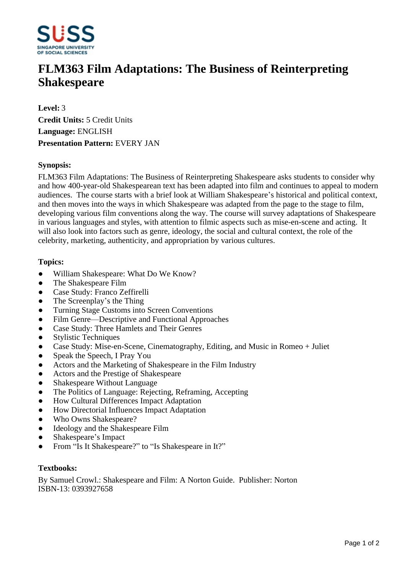

# **FLM363 Film Adaptations: The Business of Reinterpreting Shakespeare**

**Level:** 3 **Credit Units:** 5 Credit Units **Language:** ENGLISH **Presentation Pattern:** EVERY JAN

## **Synopsis:**

FLM363 Film Adaptations: The Business of Reinterpreting Shakespeare asks students to consider why and how 400-year-old Shakespearean text has been adapted into film and continues to appeal to modern audiences. The course starts with a brief look at William Shakespeare's historical and political context, and then moves into the ways in which Shakespeare was adapted from the page to the stage to film, developing various film conventions along the way. The course will survey adaptations of Shakespeare in various languages and styles, with attention to filmic aspects such as mise-en-scene and acting. It will also look into factors such as genre, ideology, the social and cultural context, the role of the celebrity, marketing, authenticity, and appropriation by various cultures.

#### **Topics:**

- William Shakespeare: What Do We Know?
- The Shakespeare Film
- Case Study: Franco Zeffirelli
- The Screenplay's the Thing
- ƔTurning Stage Customs into Screen Conventions
- Film Genre—Descriptive and Functional Approaches
- Case Study: Three Hamlets and Their Genres
- ƔStylistic Techniques
- ƔCase Study: Mise-en-Scene, Cinematography, Editing, and Music in Romeo + Juliet
- Speak the Speech, I Pray You
- Actors and the Marketing of Shakespeare in the Film Industry
- Actors and the Prestige of Shakespeare
- Shakespeare Without Language
- The Politics of Language: Rejecting, Reframing, Accepting
- How Cultural Differences Impact Adaptation
- How Directorial Influences Impact Adaptation
- Who Owns Shakespeare?
- Ideology and the Shakespeare Film
- Shakespeare's Impact
- From "Is It Shakespeare?" to "Is Shakespeare in It?"

#### **Textbooks:**

By Samuel Crowl.: Shakespeare and Film: A Norton Guide. Publisher: Norton ISBN-13: 0393927658